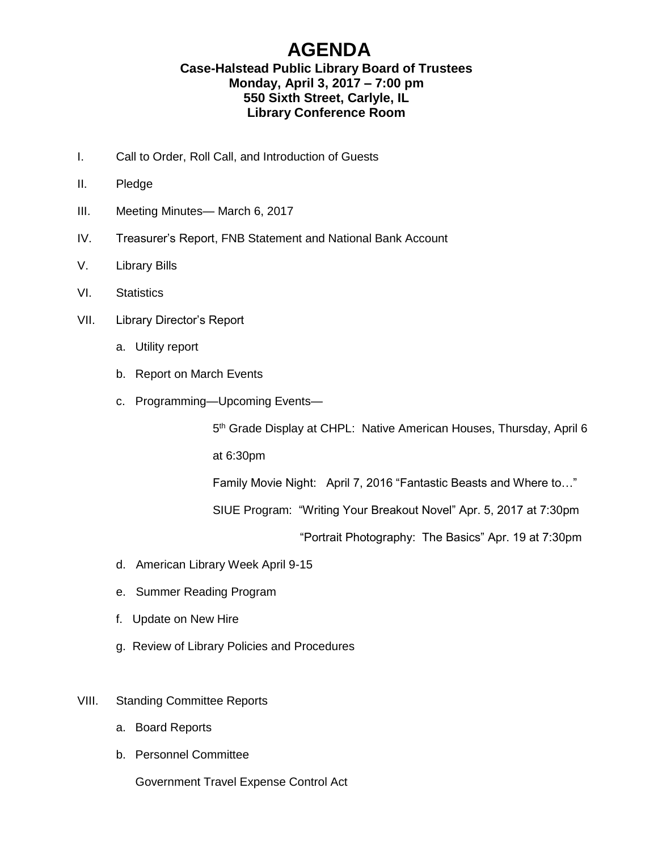## **AGENDA**

## **Case-Halstead Public Library Board of Trustees Monday, April 3, 2017 – 7:00 pm 550 Sixth Street, Carlyle, IL Library Conference Room**

- I. Call to Order, Roll Call, and Introduction of Guests
- II. Pledge
- III. Meeting Minutes— March 6, 2017
- IV. Treasurer's Report, FNB Statement and National Bank Account
- V. Library Bills
- VI. Statistics
- VII. Library Director's Report
	- a. Utility report
	- b. Report on March Events
	- c. Programming—Upcoming Events—

5<sup>th</sup> Grade Display at CHPL: Native American Houses, Thursday, April 6

at 6:30pm

Family Movie Night: April 7, 2016 "Fantastic Beasts and Where to…"

SIUE Program: "Writing Your Breakout Novel" Apr. 5, 2017 at 7:30pm

"Portrait Photography: The Basics" Apr. 19 at 7:30pm

- d. American Library Week April 9-15
- e. Summer Reading Program
- f. Update on New Hire
- g. Review of Library Policies and Procedures
- VIII. Standing Committee Reports
	- a. Board Reports
	- b. Personnel Committee

Government Travel Expense Control Act